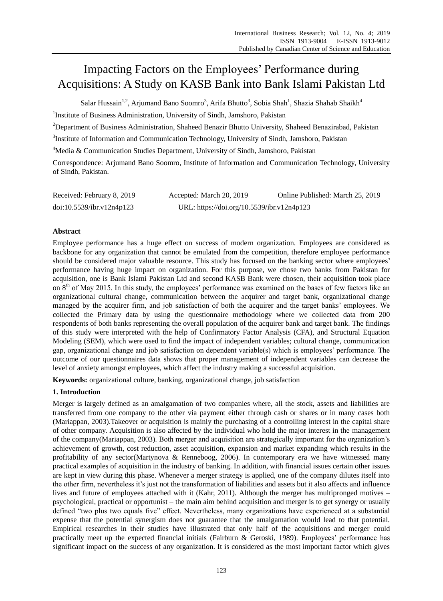# Impacting Factors on the Employees" Performance during Acquisitions: A Study on KASB Bank into Bank Islami Pakistan Ltd

Salar Hussain<sup>1,2</sup>, Arjumand Bano Soomro<sup>3</sup>, Arifa Bhutto<sup>3</sup>, Sobia Shah<sup>1</sup>, Shazia Shahab Shaikh<sup>4</sup>

<sup>1</sup>Institute of Business Administration, University of Sindh, Jamshoro, Pakistan

<sup>2</sup>Department of Business Administration, Shaheed Benazir Bhutto University, Shaheed Benazirabad, Pakistan

<sup>3</sup>Institute of Information and Communication Technology, University of Sindh, Jamshoro, Pakistan

<sup>4</sup>Media & Communication Studies Department, University of Sindh, Jamshoro, Pakistan

Correspondence: Arjumand Bano Soomro, Institute of Information and Communication Technology, University of Sindh, Pakistan.

| Received: February 8, 2019 | Accepted: March 20, 2019                   | Online Published: March 25, 2019 |
|----------------------------|--------------------------------------------|----------------------------------|
| doi:10.5539/ibr.v12n4p123  | URL: https://doi.org/10.5539/ibr.v12n4p123 |                                  |

# **Abstract**

Employee performance has a huge effect on success of modern organization. Employees are considered as backbone for any organization that cannot be emulated from the competition, therefore employee performance should be considered major valuable resource. This study has focused on the banking sector where employees" performance having huge impact on organization. For this purpose, we chose two banks from Pakistan for acquisition, one is Bank Islami Pakistan Ltd and second KASB Bank were chosen, their acquisition took place on 8<sup>th</sup> of May 2015. In this study, the employees' performance was examined on the bases of few factors like an organizational cultural change, communication between the acquirer and target bank, organizational change managed by the acquirer firm, and job satisfaction of both the acquirer and the target banks" employees. We collected the Primary data by using the questionnaire methodology where we collected data from 200 respondents of both banks representing the overall population of the acquirer bank and target bank. The findings of this study were interpreted with the help of Confirmatory Factor Analysis (CFA), and Structural Equation Modeling (SEM), which were used to find the impact of independent variables; cultural change, communication gap, organizational change and job satisfaction on dependent variable(s) which is employees" performance. The outcome of our questionnaires data shows that proper management of independent variables can decrease the level of anxiety amongst employees, which affect the industry making a successful acquisition.

**Keywords:** organizational culture, banking, organizational change, job satisfaction

## **1. Introduction**

Merger is largely defined as an amalgamation of two companies where, all the stock, assets and liabilities are transferred from one company to the other via payment either through cash or shares or in many cases both [\(Mariappan, 2003\)](#page-5-0).Takeover or acquisition is mainly the purchasing of a controlling interest in the capital share of other company. Acquisition is also affected by the individual who hold the major interest in the management of the company[\(Mariappan, 2003\)](#page-5-0). Both merger and acquisition are strategically important for the organization"s achievement of growth, cost reduction, asset acquisition, expansion and market expanding which results in the profitability of any sector[\(Martynova & Renneboog, 2006\)](#page-5-1). In contemporary era we have witnessed many practical examples of acquisition in the industry of banking. In addition, with financial issues certain other issues are kept in view during this phase. Whenever a merger strategy is applied, one of the company dilutes itself into the other firm, nevertheless it"s just not the transformation of liabilities and assets but it also affects and influence lives and future of employees attached with it [\(Kahr, 2011\)](#page-5-2). Although the merger has multipronged motives – psychological, practical or opportunist – the main aim behind acquisition and merger is to get synergy or usually defined "two plus two equals five" effect. Nevertheless, many organizations have experienced at a substantial expense that the potential synergism does not guarantee that the amalgamation would lead to that potential. Empirical researches in their studies have illustrated that only half of the acquisitions and merger could practically meet up the expected financial initials [\(Fairburn & Geroski, 1989\)](#page-5-3). Employees" performance has significant impact on the success of any organization. It is considered as the most important factor which gives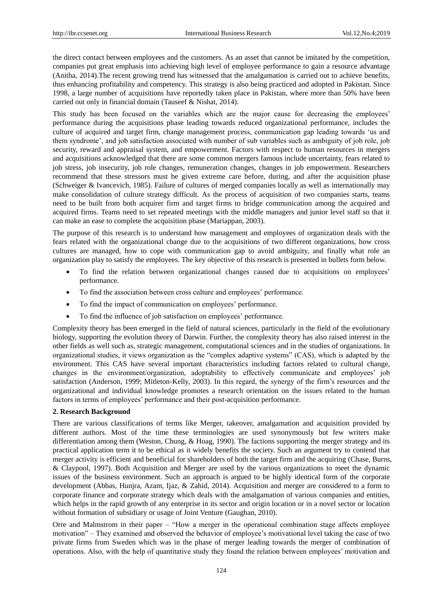the direct contact between employees and the customers. As an asset that cannot be imitated by the competition, companies put great emphasis into achieving high level of employee performance to gain a resource advantage [\(Anitha, 2014\)](#page-5-4).The recent growing trend has witnessed that the amalgamation is carried out to achieve benefits, thus enhancing profitability and competency. This strategy is also being practiced and adopted in Pakistan. Since 1998, a large number of acquisitions have reportedly taken place in Pakistan, where more than 50% have been carried out only in financial domain [\(Tauseef & Nishat, 2014\)](#page-6-0).

This study has been focused on the variables which are the major cause for decreasing the employees' performance during the acquisitions phase leading towards reduced organizational performance, includes the culture of acquired and target firm, change management process, communication gap leading towards "us and them syndrome", and job satisfaction associated with number of sub variables such as ambiguity of job role, job security, reward and appraisal system, and empowerment. Factors with respect to human resources in mergers and acquisitions acknowledged that there are some common mergers famous include uncertainty, fears related to job stress, job insecurity, job role changes, remuneration changes, changes in job empowerment. Researchers recommend that these stressors must be given extreme care before, during, and after the acquisition phase [\(Schweiger & Ivancevich, 1985\)](#page-6-1). Failure of cultures of merged companies locally as well as internationally may make consolidation of culture strategy difficult. As the process of acquisition of two companies starts, teams need to be built from both acquirer firm and target firms to bridge communication among the acquired and acquired firms. Teams need to set repeated meetings with the middle managers and junior level staff so that it can make an ease to complete the acquisition phase [\(Mariappan, 2003\)](#page-5-0).

The purpose of this research is to understand how management and employees of organization deals with the fears related with the organizational change due to the acquisitions of two different organizations, how cross cultures are managed, how to cope with communication gap to avoid ambiguity, and finally what role an organization play to satisfy the employees. The key objective of this research is presented in bullets form below.

- To find the relation between organizational changes caused due to acquisitions on employees" performance.
- To find the association between cross culture and employees' performance.
- To find the impact of communication on employees' performance.
- To find the influence of job satisfaction on employees' performance.

Complexity theory has been emerged in the field of natural sciences, particularly in the field of the evolutionary biology, supporting the evolution theory of Darwin. Further, the complexity theory has also raised interest in the other fields as well such as, strategic management, computational sciences and in the studies of organizations. In organizational studies, it views organization as the "complex adaptive systems" (CAS), which is adapted by the environment. This CAS have several important characteristics including factors related to cultural change, changes in the environment/organization, adoptability to effectively communicate and employees" job satisfaction [\(Anderson, 1999;](#page-5-5) [Mitleton-Kelly, 2003\)](#page-5-6). In this regard, the synergy of the firm"s resources and the organizational and individual knowledge promotes a research orientation on the issues related to the human factors in terms of employees' performance and their post-acquisition performance.

## **2. Research Background**

There are various classifications of terms like Merger, takeover, amalgamation and acquisition provided by different authors. Most of the time these terminologies are used synonymously but few writers make differentiation among them [\(Weston, Chung, & Hoag, 1990\)](#page-6-2). The factions supporting the merger strategy and its practical application term it to be ethical as it widely benefits the society. Such an argument try to contend that merger activity is efficient and beneficial for shareholders of both the target firm and the acquiring [\(Chase, Burns,](#page-5-7)  [& Claypool, 1997\)](#page-5-7). Both Acquisition and Merger are used by the various organizations to meet the dynamic issues of the business environment. Such an approach is argued to be highly identical form of the corporate development [\(Abbas, Hunjra, Azam, Ijaz, & Zahid, 2014\)](#page-5-8). Acquisition and merger are considered to a form to corporate finance and corporate strategy which deals with the amalgamation of various companies and entities, which helps in the rapid growth of any enterprise in its sector and origin location or in a novel sector or location without formation of subsidiary or usage of Joint Venture [\(Gaughan, 2010\)](#page-5-9).

Orre and Malmstrom in their paper – "How a merger in the operational combination stage affects employee motivation" – They examined and observed the behavior of employee"s motivational level taking the case of two private firms from Sweden which was in the phase of merger leading towards the merger of combination of operations. Also, with the help of quantitative study they found the relation between employees" motivation and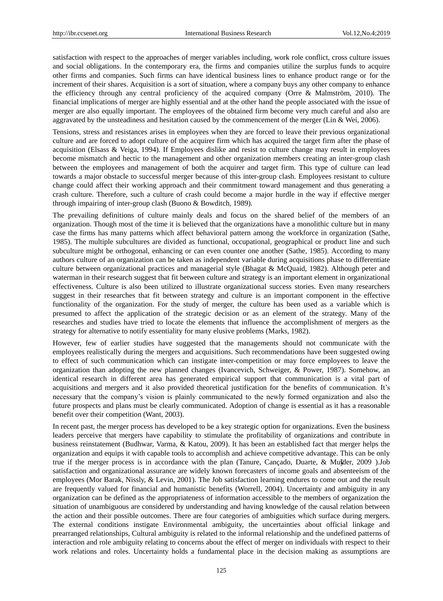satisfaction with respect to the approaches of merger variables including, work role conflict, cross culture issues and social obligations. In the contemporary era, the firms and companies utilize the surplus funds to acquire other firms and companies. Such firms can have identical business lines to enhance product range or for the increment of their shares. Acquisition is a sort of situation, where a company buys any other company to enhance the efficiency through any central proficiency of the acquired company [\(Orre & Malmström, 2010\)](#page-6-3). The financial implications of merger are highly essential and at the other hand the people associated with the issue of merger are also equally important. The employees of the obtained firm become very much careful and also are aggravated by the unsteadiness and hesitation caused by the commencement of the merger [\(Lin & Wei, 2006\)](#page-5-10).

Tensions, stress and resistances arises in employees when they are forced to leave their previous organizational culture and are forced to adopt culture of the acquirer firm which has acquired the target firm after the phase of acquisition [\(Elsass & Veiga, 1994\)](#page-5-11). If Employees dislike and resist to culture change may result in employees become mismatch and hectic to the management and other organization members creating an inter-group clash between the employees and management of both the acquirer and target firm. This type of culture can lead towards a major obstacle to successful merger because of this inter-group clash. Employees resistant to culture change could affect their working approach and their commitment toward management and thus generating a crash culture. Therefore, such a culture of crash could become a major hurdle in the way if effective merger through impairing of inter-group clash (Buono & Bowditch, 1989).

The prevailing definitions of culture mainly deals and focus on the shared belief of the members of an organization. Though most of the time it is believed that the organizations have a monolithic culture but in many case the firms has many patterns which affect behavioral pattern among the workforce in organization [\(Sathe,](#page-6-4)  [1985\)](#page-6-4). The multiple subcultures are divided as functional, occupational, geographical or product line and such subculture might be orthogonal, enhancing or can even counter one another [\(Sathe, 1985\)](#page-6-4). According to many authors culture of an organization can be taken as independent variable during acquisitions phase to differentiate culture between organizational practices and managerial style [\(Bhagat & McQuaid, 1982\)](#page-5-12). Although peter and waterman in their research suggest that fit between culture and strategy is an important element in organizational effectiveness. Culture is also been utilized to illustrate organizational success stories. Even many researchers suggest in their researches that fit between strategy and culture is an important component in the effective functionality of the organization. For the study of merger, the culture has been used as a variable which is presumed to affect the application of the strategic decision or as an element of the strategy. Many of the researches and studies have tried to locate the elements that influence the accomplishment of mergers as the strategy for alternative to notify essentiality for many elusive problems [\(Marks, 1982\)](#page-5-13).

However, few of earlier studies have suggested that the managements should not communicate with the employees realistically during the mergers and acquisitions. Such recommendations have been suggested owing to effect of such communication which can instigate inter-competition or may force employees to leave the organization than adopting the new planned changes [\(Ivancevich, Schweiger, & Power, 1987\)](#page-5-14). Somehow, an identical research in different area has generated empirical support that communication is a vital part of acquisitions and mergers and it also provided theoretical justification for the benefits of communication. It's necessary that the company"s vision is plainly communicated to the newly formed organization and also the future prospects and plans must be clearly communicated. Adoption of change is essential as it has a reasonable benefit over their competition [\(Want, 2003\)](#page-6-5).

In recent past, the merger process has developed to be a key strategic option for organizations. Even the business leaders perceive that mergers have capability to stimulate the profitability of organizations and contribute in business reinstatement [\(Budhwar, Varma, & Katou, 2009\)](#page-5-15). It has been an established fact that merger helps the organization and equips it with capable tools to accomplish and achieve competitive advantage. This can be only true if the merger process is in accordance with the plan [\(Tanure, Cançado, Duarte, & Muÿlder, 2009](#page-6-6) ).Job satisfaction and organizational assurance are widely known forecasters of income goals and absenteeism of the employees [\(Mor Barak, Nissly, & Levin, 2001\)](#page-6-7). The Job satisfaction learning endures to come out and the result are frequently valued for financial and humanistic benefits [\(Worrell, 2004\)](#page-6-8). Uncertainty and ambiguity in any organization can be defined as the appropriateness of information accessible to the members of organization the situation of unambiguous are considered by understanding and having knowledge of the causal relation between the action and their possible outcomes. There are four categories of ambiguities which surface during mergers. The external conditions instigate Environmental ambiguity, the uncertainties about official linkage and prearranged relationships, Cultural ambiguity is related to the informal relationship and the undefined patterns of interaction and role ambiguity relating to concerns about the effect of merger on individuals with respect to their work relations and roles. Uncertainty holds a fundamental place in the decision making as assumptions are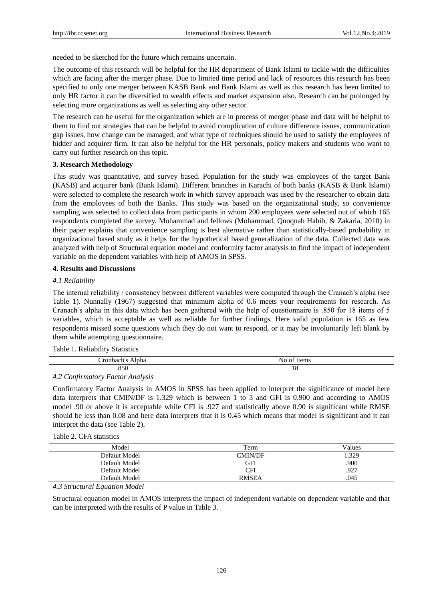needed to be sketched for the future which remains uncertain.

The outcome of this research will be helpful for the HR department of Bank Islami to tackle with the difficulties which are facing after the merger phase. Due to limited time period and lack of resources this research has been specified to only one merger between KASB Bank and Bank Islami as well as this research has been limited to only HR factor it can be diversified to wealth effects and market expansion also. Research can be prolonged by selecting more organizations as well as selecting any other sector.

The research can be useful for the organization which are in process of merger phase and data will be helpful to them to find out strategies that can be helpful to avoid complication of culture difference issues, communication gap issues, how change can be managed, and what type of techniques should be used to satisfy the employees of bidder and acquirer firm. It can also be helpful for the HR personals, policy makers and students who want to carry out further research on this topic.

## **3. Research Methodology**

This study was quantitative, and survey based. Population for the study was employees of the target Bank (KASB) and acquirer bank (Bank Islami). Different branches in Karachi of both banks (KASB & Bank Islami) were selected to complete the research work in which survey approach was used by the researcher to obtain data from the employees of both the Banks. This study was based on the organizational study, so convenience sampling was selected to collect data from participants in whom 200 employees were selected out of which 165 respondents completed the survey. Mohammad and fellows [\(Mohammad, Quoquab Habib, & Zakaria, 2010\)](#page-6-9) in their paper explains that convenience sampling is best alternative rather than statistically-based probability in organizational based study as it helps for the hypothetical based generalization of the data. Collected data was analyzed with help of Structural equation model and conformity factor analysis to find the impact of independent variable on the dependent variables with help of AMOS in SPSS.

## **4. Results and Discussions**

## *4.1 Reliability*

The internal reliability / consistency between different variables were computed through the Cranach's alpha (see Table 1). Nunnally (1967) suggested that minimum alpha of 0.6 meets your requirements for research. As Cranach"s alpha in this data which has been gathered with the help of questionnaire is .850 for 18 items of 5 variables, which is acceptable as well as reliable for further findings. Here valid population is 165 as few respondents missed some questions which they do not want to respond, or it may be involuntarily left blank by them while attempting questionnaire.

Table 1. Reliability Statistics

| .<br>пліа | 151 |
|-----------|-----|
|           |     |

## *4.2 Confirmatory Factor Analysis*

Confirmatory Factor Analysis in AMOS in SPSS has been applied to interpret the significance of model here data interprets that CMIN/DF is 1.329 which is between 1 to 3 and GFI is 0.900 and according to AMOS model .90 or above it is acceptable while CFI is .927 and statistically above 0.90 is significant while RMSE should be less than 0.08 and here data interprets that it is 0.45 which means that model is significant and it can interpret the data (see Table 2).

Table 2. CFA statistics

| Term           | Values |
|----------------|--------|
| <b>CMIN/DF</b> | 1.329  |
| GFI            | .900   |
| CFI            | .927   |
| <b>RMSEA</b>   | .045   |
|                |        |

*4.3 Structural Equation Model*

Structural equation model in AMOS interprets the impact of independent variable on dependent variable and that can be interpreted with the results of P value in Table 3.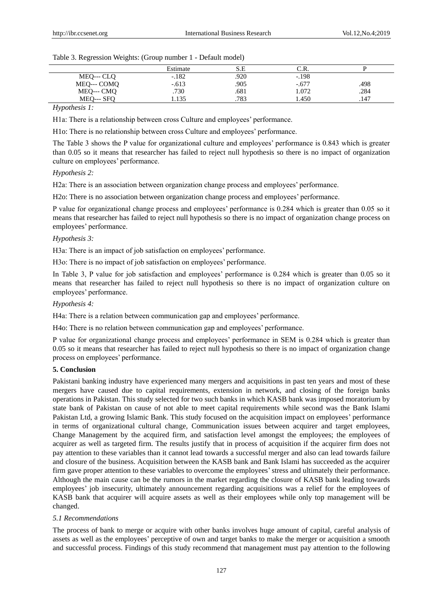| Table 3. Regression Weights: (Group number 1 - Default model) |  |  |  |
|---------------------------------------------------------------|--|--|--|
|                                                               |  |  |  |

|             | Estimate |      |         |      |  |
|-------------|----------|------|---------|------|--|
| MEQ--- CLQ  | $-.182$  | .920 | $-.198$ |      |  |
| MEQ--- COMQ | $-.613$  | .905 | $-.677$ | .498 |  |
| MEQ--- CMQ  | .730     | .681 | 1.072   | .284 |  |
| MEO--- SFO  | 135      | .783 | .450    | .147 |  |
|             |          |      |         |      |  |

## *Hypothesis 1:*

H1a: There is a relationship between cross Culture and employees" performance.

H1o: There is no relationship between cross Culture and employees' performance.

The Table 3 shows the P value for organizational culture and employees' performance is 0.843 which is greater than 0.05 so it means that researcher has failed to reject null hypothesis so there is no impact of organization culture on employees' performance.

## *Hypothesis 2:*

H2a: There is an association between organization change process and employees' performance.

H2o: There is no association between organization change process and employees" performance.

P value for organizational change process and employees" performance is 0.284 which is greater than 0.05 so it means that researcher has failed to reject null hypothesis so there is no impact of organization change process on employees" performance.

#### *Hypothesis 3:*

H3a: There is an impact of job satisfaction on employees' performance.

H3o: There is no impact of job satisfaction on employees' performance.

In Table 3, P value for job satisfaction and employees' performance is 0.284 which is greater than 0.05 so it means that researcher has failed to reject null hypothesis so there is no impact of organization culture on employees' performance.

## *Hypothesis 4:*

H4a: There is a relation between communication gap and employees' performance.

H4o: There is no relation between communication gap and employees' performance.

P value for organizational change process and employees" performance in SEM is 0.284 which is greater than 0.05 so it means that researcher has failed to reject null hypothesis so there is no impact of organization change process on employees" performance.

#### **5. Conclusion**

Pakistani banking industry have experienced many mergers and acquisitions in past ten years and most of these mergers have caused due to capital requirements, extension in network, and closing of the foreign banks operations in Pakistan. This study selected for two such banks in which KASB bank was imposed moratorium by state bank of Pakistan on cause of not able to meet capital requirements while second was the Bank Islami Pakistan Ltd, a growing Islamic Bank. This study focused on the acquisition impact on employees' performance in terms of organizational cultural change, Communication issues between acquirer and target employees, Change Management by the acquired firm, and satisfaction level amongst the employees; the employees of acquirer as well as targeted firm. The results justify that in process of acquisition if the acquirer firm does not pay attention to these variables than it cannot lead towards a successful merger and also can lead towards failure and closure of the business. Acquisition between the KASB bank and Bank Islami has succeeded as the acquirer firm gave proper attention to these variables to overcome the employees"stress and ultimately their performance. Although the main cause can be the rumors in the market regarding the closure of KASB bank leading towards employees' job insecurity, ultimately announcement regarding acquisitions was a relief for the employees of KASB bank that acquirer will acquire assets as well as their employees while only top management will be changed.

#### *5.1 Recommendations*

The process of bank to merge or acquire with other banks involves huge amount of capital, careful analysis of assets as well as the employees" perceptive of own and target banks to make the merger or acquisition a smooth and successful process. Findings of this study recommend that management must pay attention to the following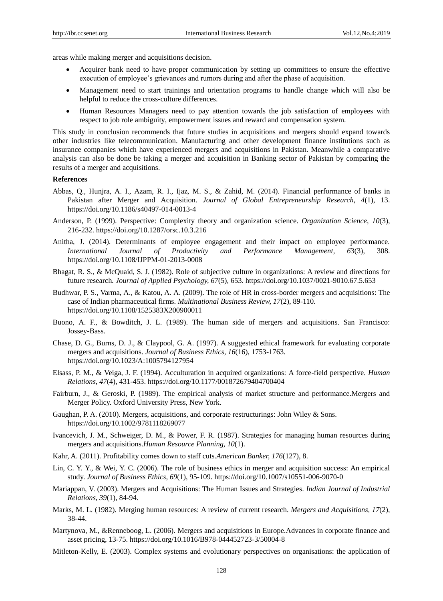areas while making merger and acquisitions decision.

- Acquirer bank need to have proper communication by setting up committees to ensure the effective execution of employee"s grievances and rumors during and after the phase of acquisition.
- Management need to start trainings and orientation programs to handle change which will also be helpful to reduce the cross-culture differences.
- Human Resources Managers need to pay attention towards the job satisfaction of employees with respect to job role ambiguity, empowerment issues and reward and compensation system.

This study in conclusion recommends that future studies in acquisitions and mergers should expand towards other industries like telecommunication. Manufacturing and other development finance institutions such as insurance companies which have experienced mergers and acquisitions in Pakistan. Meanwhile a comparative analysis can also be done be taking a merger and acquisition in Banking sector of Pakistan by comparing the results of a merger and acquisitions.

#### **References**

- <span id="page-5-8"></span>Abbas, Q., Hunjra, A. I., Azam, R. I., Ijaz, M. S., & Zahid, M. (2014). Financial performance of banks in Pakistan after Merger and Acquisition. *Journal of Global Entrepreneurship Research, 4*(1), 13. https://doi.org/10.1186/s40497-014-0013-4
- <span id="page-5-5"></span>Anderson, P. (1999). Perspective: Complexity theory and organization science. *Organization Science, 10*(3), 216-232. https://doi.org/10.1287/orsc.10.3.216
- <span id="page-5-4"></span>Anitha, J. (2014). Determinants of employee engagement and their impact on employee performance. *International Journal of Productivity and Performance Management, 6*3(3), 308. https://doi.org/10.1108/IJPPM-01-2013-0008
- <span id="page-5-12"></span>Bhagat, R. S., & McQuaid, S. J. (1982). Role of subjective culture in organizations: A review and directions for future research*. Journal of Applied Psychology, 67*(5), 653. https://doi.org/10.1037/0021-9010.67.5.653
- <span id="page-5-15"></span>Budhwar, P. S., Varma, A., & Katou, A. A. (2009). The role of HR in cross-border mergers and acquisitions: The case of Indian pharmaceutical firms. *Multinational Business Review, 17*(2), 89-110. https://doi.org/10.1108/1525383X200900011
- <span id="page-5-7"></span>Buono, A. F., & Bowditch, J. L. (1989). The human side of mergers and acquisitions. San Francisco: Jossey-Bass.
- Chase, D. G., Burns, D. J., & Claypool, G. A. (1997). A suggested ethical framework for evaluating corporate mergers and acquisitions. *Journal of Business Ethics, 16*(16), 1753-1763. https://doi.org/10.1023/A:1005794127954
- <span id="page-5-11"></span>Elsass, P. M., & Veiga, J. F. (1994). Acculturation in acquired organizations: A force-field perspective. *Human Relations, 47*(4), 431-453. https://doi.org/10.1177/001872679404700404
- <span id="page-5-3"></span>Fairburn, J., & Geroski, P. (1989). The empirical analysis of market structure and performance.Mergers and Merger Policy. Oxford University Press, New York.
- <span id="page-5-9"></span>Gaughan, P. A. (2010). Mergers, acquisitions, and corporate restructurings: John Wiley & Sons. https://doi.org/10.1002/9781118269077
- <span id="page-5-14"></span>Ivancevich, J. M., Schweiger, D. M., & Power, F. R. (1987). Strategies for managing human resources during mergers and acquisitions.*Human Resource Planning, 10*(1).
- <span id="page-5-2"></span>Kahr, A. (2011). Profitability comes down to staff cuts.*American Banker, 176*(127), 8.
- <span id="page-5-10"></span>Lin, C. Y. Y., & Wei, Y. C. (2006). The role of business ethics in merger and acquisition success: An empirical study. *Journal of Business Ethics, 69*(1), 95-109. https://doi.org/10.1007/s10551-006-9070-0
- <span id="page-5-0"></span>Mariappan, V. (2003). Mergers and Acquisitions: The Human Issues and Strategies. *Indian Journal of Industrial Relations, 39*(1), 84-94.
- <span id="page-5-13"></span>Marks, M. L. (1982). Merging human resources: A review of current research. *Mergers and Acquisitions, 17*(2), 38-44.
- <span id="page-5-1"></span>Martynova, M., &Renneboog, L. (2006). Mergers and acquisitions in Europe.Advances in corporate finance and asset pricing, 13-75. https://doi.org/10.1016/B978-044452723-3/50004-8
- <span id="page-5-6"></span>Mitleton-Kelly, E. (2003). Complex systems and evolutionary perspectives on organisations: the application of